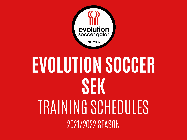

## **EVOLUTION SOCCER SEK** TRAINING SCHEDULES 2021/2022 SEASON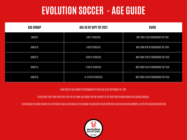## **EVOLUTION SOCCER - AGE GUIDE**

| <b>AGE GROUP</b> | AGE AS OF SEPT 1ST 2021<br>GUIDE |                                       |  |
|------------------|----------------------------------|---------------------------------------|--|
| UNDER 8          | 6 OR 7 YEARS OLD                 | MAY TURN 7 OR 8 THROUGHOUT THE YEAR   |  |
| UNDER 10         | 8 OR 9 YEARS OLD                 | MAY TURN 9 OR 10 THROUGHOUT THE YEAR  |  |
| UNDER 12         | 10 OR 11 YEARS OLD               | MAY TURN 11 OR 12 THROUGHOUT THE YEAR |  |
| UNDER 14         | 12 OR 13 YEARS OLD               | MAY TURN 13 OR 14 THROUGHOUT THE YEAR |  |
| UNDER 16         | 14,15 OR 16 YEARS OLD            | MAY TURN 15 OR 16 THROUGHOUT THE YEAR |  |

YOUR CHILD'S AGE GROUP IS DETERMINED BY THEIR AGE AS OF SEPTEMBER 1ST, 2021.

PLEASE NOTE THAT YOUR CHILD WILL STAY IN THE SAME AGE GROUP FOR THE ENTIRETY OF THE 2021/2022 SEASON (MUCH LIKE SCHOOL GRADES).

PLAYERS MAY BE ASKED TO MOVE TO A DIFFERENT TEAM AT ANY STAGE OF THE SEASON TO ALIGN WITH THEIR RESPECTIVE ABILITIES AND DEVELOPMENT, AS PER THE COACHES DISCRETION.